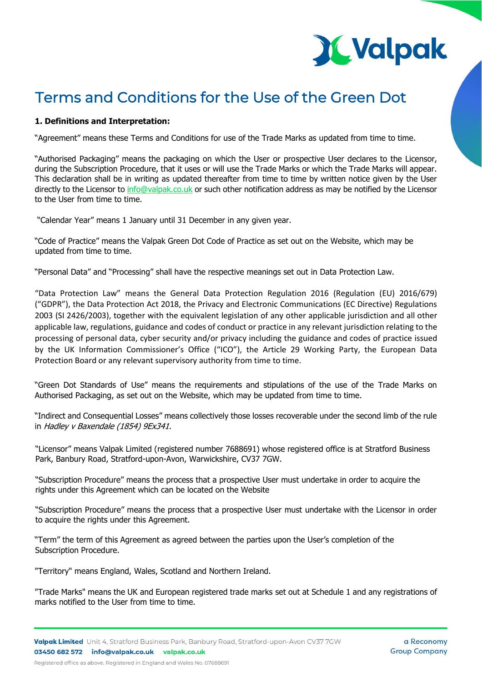# **X Valpak**

# Terms and Conditions for the Use of the Green Dot

# **1. Definitions and Interpretation:**

"Agreement" means these Terms and Conditions for use of the Trade Marks as updated from time to time.

"Authorised Packaging" means the packaging on which the User or prospective User declares to the Licensor, during the Subscription Procedure, that it uses or will use the Trade Marks or which the Trade Marks will appear. This declaration shall be in writing as updated thereafter from time to time by written notice given by the User directly to the Licensor to [info@valpak.co.uk](mailto:info@valpak.co.uk) or such other notification address as may be notified by the Licensor to the User from time to time.

"Calendar Year" means 1 January until 31 December in any given year.

"Code of Practice" means the Valpak Green Dot Code of Practice as set out on the Website, which may be updated from time to time.

"Personal Data" and "Processing" shall have the respective meanings set out in Data Protection Law.

"Data Protection Law" means the General Data Protection Regulation 2016 (Regulation (EU) 2016/679) ("GDPR"), the Data Protection Act 2018, the Privacy and Electronic Communications (EC Directive) Regulations 2003 (SI 2426/2003), together with the equivalent legislation of any other applicable jurisdiction and all other applicable law, regulations, guidance and codes of conduct or practice in any relevant jurisdiction relating to the processing of personal data, cyber security and/or privacy including the guidance and codes of practice issued by the UK Information Commissioner's Office ("ICO"), the Article 29 Working Party, the European Data Protection Board or any relevant supervisory authority from time to time.

"Green Dot Standards of Use" means the requirements and stipulations of the use of the Trade Marks on Authorised Packaging, as set out on the Website, which may be updated from time to time.

"Indirect and Consequential Losses" means collectively those losses recoverable under the second limb of the rule in Hadley v Baxendale (1854) 9Ex341.

"Licensor" means Valpak Limited (registered number 7688691) whose registered office is at Stratford Business Park, Banbury Road, Stratford-upon-Avon, Warwickshire, CV37 7GW.

"Subscription Procedure" means the process that a prospective User must undertake in order to acquire the rights under this Agreement which can be located on the Website

"Subscription Procedure" means the process that a prospective User must undertake with the Licensor in order to acquire the rights under this Agreement.

"Term" the term of this Agreement as agreed between the parties upon the User's completion of the Subscription Procedure.

"Territory" means England, Wales, Scotland and Northern Ireland.

"Trade Marks" means the UK and European registered trade marks set out at Schedule 1 and any registrations of marks notified to the User from time to time.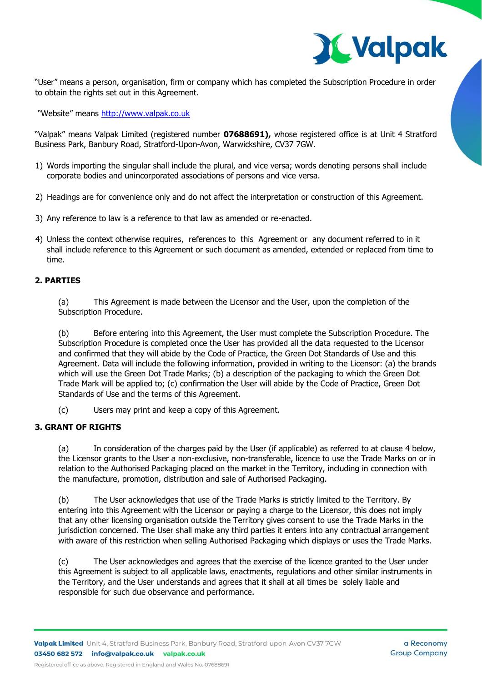

"User" means a person, organisation, firm or company which has completed the Subscription Procedure in order to obtain the rights set out in this Agreement.

"Website" means [http://www.valpak.co.uk](http://www.valpak.co.uk/)

"Valpak" means Valpak Limited (registered number **07688691),** whose registered office is at Unit 4 Stratford Business Park, Banbury Road, Stratford-Upon-Avon, Warwickshire, CV37 7GW.

- 1) Words importing the singular shall include the plural, and vice versa; words denoting persons shall include corporate bodies and unincorporated associations of persons and vice versa.
- 2) Headings are for convenience only and do not affect the interpretation or construction of this Agreement.
- 3) Any reference to law is a reference to that law as amended or re-enacted.
- 4) Unless the context otherwise requires, references to this Agreement or any document referred to in it shall include reference to this Agreement or such document as amended, extended or replaced from time to time.

# **2. PARTIES**

(a) This Agreement is made between the Licensor and the User, upon the completion of the Subscription Procedure.

(b) Before entering into this Agreement, the User must complete the Subscription Procedure. The Subscription Procedure is completed once the User has provided all the data requested to the Licensor and confirmed that they will abide by the Code of Practice, the Green Dot Standards of Use and this Agreement. Data will include the following information, provided in writing to the Licensor: (a) the brands which will use the Green Dot Trade Marks; (b) a description of the packaging to which the Green Dot Trade Mark will be applied to; (c) confirmation the User will abide by the Code of Practice, Green Dot Standards of Use and the terms of this Agreement.

(c) Users may print and keep a copy of this Agreement.

# **3. GRANT OF RIGHTS**

(a) In consideration of the charges paid by the User (if applicable) as referred to at clause 4 below, the Licensor grants to the User a non-exclusive, non-transferable, licence to use the Trade Marks on or in relation to the Authorised Packaging placed on the market in the Territory, including in connection with the manufacture, promotion, distribution and sale of Authorised Packaging.

(b) The User acknowledges that use of the Trade Marks is strictly limited to the Territory. By entering into this Agreement with the Licensor or paying a charge to the Licensor, this does not imply that any other licensing organisation outside the Territory gives consent to use the Trade Marks in the jurisdiction concerned. The User shall make any third parties it enters into any contractual arrangement with aware of this restriction when selling Authorised Packaging which displays or uses the Trade Marks.

(c) The User acknowledges and agrees that the exercise of the licence granted to the User under this Agreement is subject to all applicable laws, enactments, regulations and other similar instruments in the Territory, and the User understands and agrees that it shall at all times be solely liable and responsible for such due observance and performance.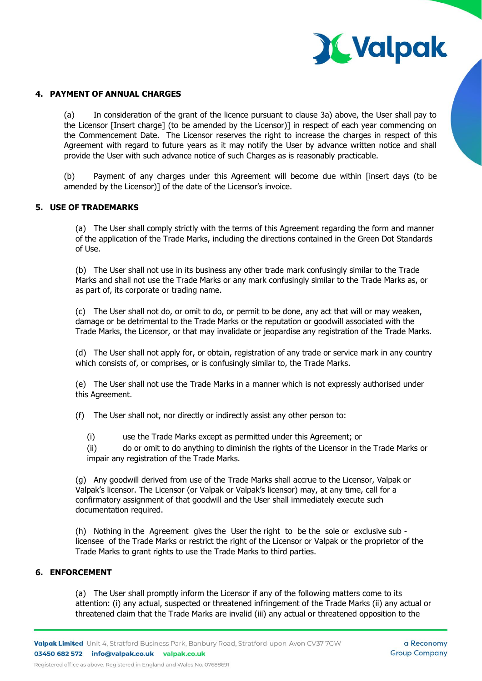

#### **4. PAYMENT OF ANNUAL CHARGES**

(a) In consideration of the grant of the licence pursuant to clause 3a) above, the User shall pay to the Licensor [Insert charge] (to be amended by the Licensor)] in respect of each year commencing on the Commencement Date. The Licensor reserves the right to increase the charges in respect of this Agreement with regard to future years as it may notify the User by advance written notice and shall provide the User with such advance notice of such Charges as is reasonably practicable.

(b) Payment of any charges under this Agreement will become due within [insert days (to be amended by the Licensor)] of the date of the Licensor's invoice.

#### **5. USE OF TRADEMARKS**

(a) The User shall comply strictly with the terms of this Agreement regarding the form and manner of the application of the Trade Marks, including the directions contained in the Green Dot Standards of Use.

(b) The User shall not use in its business any other trade mark confusingly similar to the Trade Marks and shall not use the Trade Marks or any mark confusingly similar to the Trade Marks as, or as part of, its corporate or trading name.

(c) The User shall not do, or omit to do, or permit to be done, any act that will or may weaken, damage or be detrimental to the Trade Marks or the reputation or goodwill associated with the Trade Marks, the Licensor, or that may invalidate or jeopardise any registration of the Trade Marks.

(d) The User shall not apply for, or obtain, registration of any trade or service mark in any country which consists of, or comprises, or is confusingly similar to, the Trade Marks.

(e) The User shall not use the Trade Marks in a manner which is not expressly authorised under this Agreement.

(f) The User shall not, nor directly or indirectly assist any other person to:

(i) use the Trade Marks except as permitted under this Agreement; or

(ii) do or omit to do anything to diminish the rights of the Licensor in the Trade Marks or impair any registration of the Trade Marks.

(g) Any goodwill derived from use of the Trade Marks shall accrue to the Licensor, Valpak or Valpak's licensor. The Licensor (or Valpak or Valpak's licensor) may, at any time, call for a confirmatory assignment of that goodwill and the User shall immediately execute such documentation required.

(h) Nothing in the Agreement gives the User the right to be the sole or exclusive sub licensee of the Trade Marks or restrict the right of the Licensor or Valpak or the proprietor of the Trade Marks to grant rights to use the Trade Marks to third parties.

#### **6. ENFORCEMENT**

(a) The User shall promptly inform the Licensor if any of the following matters come to its attention: (i) any actual, suspected or threatened infringement of the Trade Marks (ii) any actual or threatened claim that the Trade Marks are invalid (iii) any actual or threatened opposition to the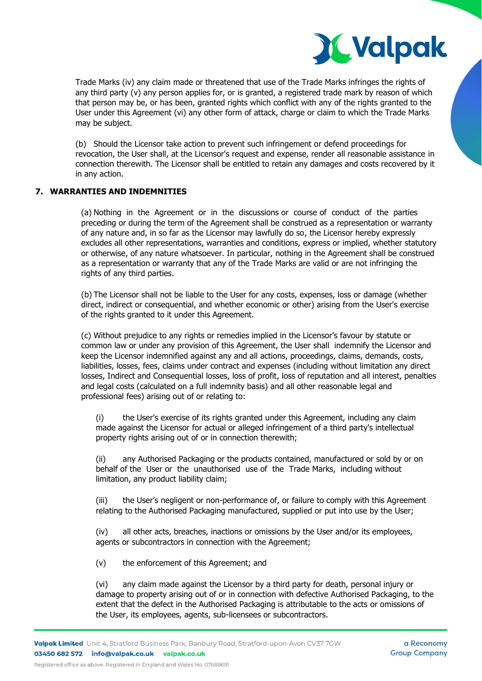

Trade Marks (iv) any claim made or threatened that use of the Trade Marks infringes the rights of any third party (v) any person applies for, or is granted, a registered trade mark by reason of which that person may be, or has been, granted rights which conflict with any of the rights granted to the User under this Agreement (vi) any other form of attack, charge or claim to which the Trade Marks may be subject.

(b) Should the Licensor take action to prevent such infringement or defend proceedings for revocation, the User shall, at the Licensor's request and expense, render all reasonable assistance in connection therewith. The Licensor shall be entitled to retain any damages and costs recovered by it in any action.

# **7. WARRANTIES AND INDEMNITIES**

(a) Nothing in the Agreement or in the discussions or course of conduct of the parties preceding or during the term of the Agreement shall be construed as a representation or warranty of any nature and, in so far as the Licensor may lawfully do so, the Licensor hereby expressly excludes all other representations, warranties and conditions, express or implied, whether statutory or otherwise, of any nature whatsoever. In particular, nothing in the Agreement shall be construed as a representation or warranty that any of the Trade Marks are valid or are not infringing the rights of any third parties.

(b) The Licensor shall not be liable to the User for any costs, expenses, loss or damage (whether direct, indirect or consequential, and whether economic or other) arising from the User's exercise of the rights granted to it under this Agreement.

(c) Without prejudice to any rights or remedies implied in the Licensor's favour by statute or common law or under any provision of this Agreement, the User shall indemnify the Licensor and keep the Licensor indemnified against any and all actions, proceedings, claims, demands, costs, liabilities, losses, fees, claims under contract and expenses (including without limitation any direct losses, Indirect and Consequential losses, loss of profit, loss of reputation and all interest, penalties and legal costs (calculated on a full indemnity basis) and all other reasonable legal and professional fees) arising out of or relating to:

(i) the User's exercise of its rights granted under this Agreement, including any claim made against the Licensor for actual or alleged infringement of a third party's intellectual property rights arising out of or in connection therewith;

(ii) any Authorised Packaging or the products contained, manufactured or sold by or on behalf of the User or the unauthorised use of the Trade Marks, including without limitation, any product liability claim;

(iii) the User's negligent or non-performance of, or failure to comply with this Agreement relating to the Authorised Packaging manufactured, supplied or put into use by the User;

(iv) all other acts, breaches, inactions or omissions by the User and/or its employees, agents or subcontractors in connection with the Agreement;

(v) the enforcement of this Agreement; and

(vi) any claim made against the Licensor by a third party for death, personal injury or damage to property arising out of or in connection with defective Authorised Packaging, to the extent that the defect in the Authorised Packaging is attributable to the acts or omissions of the User, its employees, agents, sub-licensees or subcontractors.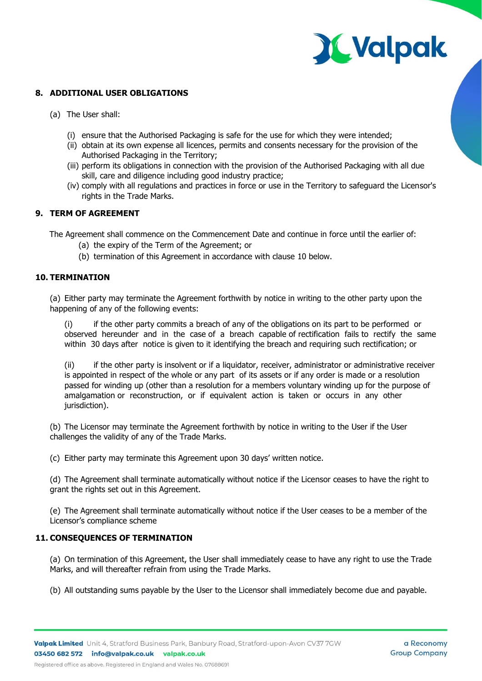

# **8. ADDITIONAL USER OBLIGATIONS**

- (a) The User shall:
	- (i) ensure that the Authorised Packaging is safe for the use for which they were intended;
	- (ii) obtain at its own expense all licences, permits and consents necessary for the provision of the Authorised Packaging in the Territory;
	- (iii) perform its obligations in connection with the provision of the Authorised Packaging with all due skill, care and diligence including good industry practice;
	- (iv) comply with all regulations and practices in force or use in the Territory to safeguard the Licensor's rights in the Trade Marks.

#### **9. TERM OF AGREEMENT**

The Agreement shall commence on the Commencement Date and continue in force until the earlier of:

- (a) the expiry of the Term of the Agreement; or
- (b) termination of this Agreement in accordance with clause [10](#page-4-0) below.

#### <span id="page-4-0"></span>**10. TERMINATION**

(a) Either party may terminate the Agreement forthwith by notice in writing to the other party upon the happening of any of the following events:

(i) if the other party commits a breach of any of the obligations on its part to be performed or observed hereunder and in the case of a breach capable of rectification fails to rectify the same within 30 days after notice is given to it identifying the breach and requiring such rectification; or

(ii) if the other party is insolvent or if a liquidator, receiver, administrator or administrative receiver is appointed in respect of the whole or any part of its assets or if any order is made or a resolution passed for winding up (other than a resolution for a members voluntary winding up for the purpose of amalgamation or reconstruction, or if equivalent action is taken or occurs in any other jurisdiction).

(b) The Licensor may terminate the Agreement forthwith by notice in writing to the User if the User challenges the validity of any of the Trade Marks.

(c) Either party may terminate this Agreement upon 30 days' written notice.

(d) The Agreement shall terminate automatically without notice if the Licensor ceases to have the right to grant the rights set out in this Agreement.

(e) The Agreement shall terminate automatically without notice if the User ceases to be a member of the Licensor's compliance scheme

# **11. CONSEQUENCES OF TERMINATION**

(a) On termination of this Agreement, the User shall immediately cease to have any right to use the Trade Marks, and will thereafter refrain from using the Trade Marks.

(b) All outstanding sums payable by the User to the Licensor shall immediately become due and payable.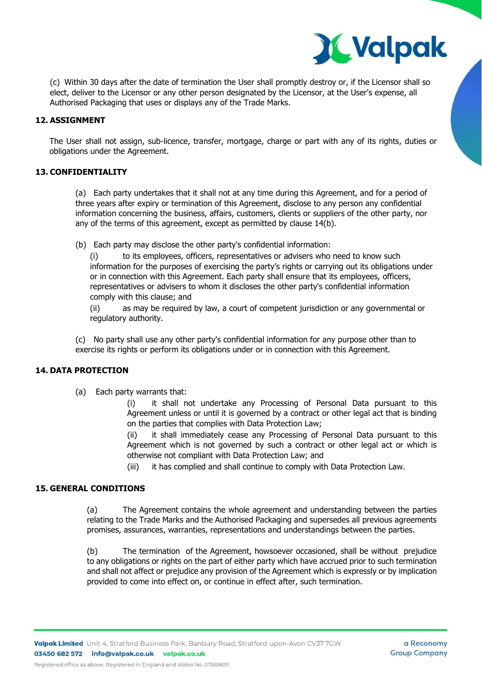

(c) Within 30 days after the date of termination the User shall promptly destroy or, if the Licensor shall so elect, deliver to the Licensor or any other person designated by the Licensor, at the User's expense, all Authorised Packaging that uses or displays any of the Trade Marks.

# **12. ASSIGNMENT**

The User shall not assign, sub-licence, transfer, mortgage, charge or part with any of its rights, duties or obligations under the Agreement.

# **13. CONFIDENTIALITY**

(a) Each party undertakes that it shall not at any time during this Agreement, and for a period of three years after expiry or termination of this Agreement, disclose to any person any confidential information concerning the business, affairs, customers, clients or suppliers of the other party, nor any of the terms of this agreement, except as permitted by clause 14(b).

(b) Each party may disclose the other party's confidential information:

(i) to its employees, officers, representatives or advisers who need to know such information for the purposes of exercising the party's rights or carrying out its obligations under or in connection with this Agreement. Each party shall ensure that its employees, officers, representatives or advisers to whom it discloses the other party's confidential information comply with this clause; and

(ii) as may be required by law, a court of competent jurisdiction or any governmental or regulatory authority.

(c) No party shall use any other party's confidential information for any purpose other than to exercise its rights or perform its obligations under or in connection with this Agreement.

# **14. DATA PROTECTION**

(a) Each party warrants that:

(i) it shall not undertake any Processing of Personal Data pursuant to this Agreement unless or until it is governed by a contract or other legal act that is binding on the parties that complies with Data Protection Law;

(ii) it shall immediately cease any Processing of Personal Data pursuant to this Agreement which is not governed by such a contract or other legal act or which is otherwise not compliant with Data Protection Law; and

(iii) it has complied and shall continue to comply with Data Protection Law.

# **15. GENERAL CONDITIONS**

(a) The Agreement contains the whole agreement and understanding between the parties relating to the Trade Marks and the Authorised Packaging and supersedes all previous agreements promises, assurances, warranties, representations and understandings between the parties.

(b) The termination of the Agreement, howsoever occasioned, shall be without prejudice to any obligations or rights on the part of either party which have accrued prior to such termination and shall not affect or prejudice any provision of the Agreement which is expressly or by implication provided to come into effect on, or continue in effect after, such termination.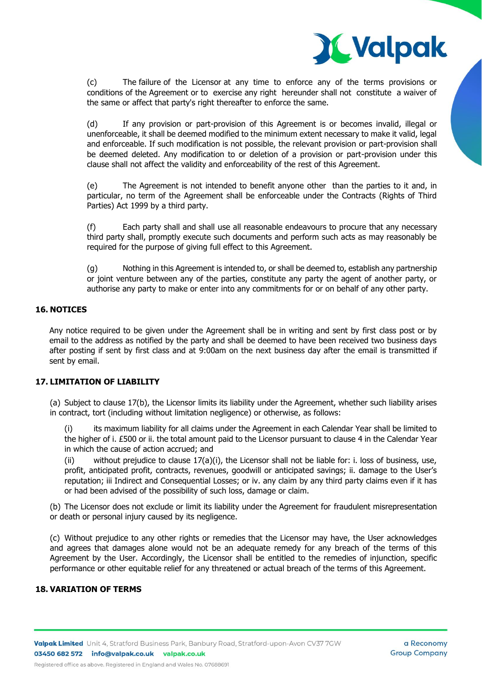

(c) The failure of the Licensor at any time to enforce any of the terms provisions or conditions of the Agreement or to exercise any right hereunder shall not constitute a waiver of the same or affect that party's right thereafter to enforce the same.

(d) If any provision or part-provision of this Agreement is or becomes invalid, illegal or unenforceable, it shall be deemed modified to the minimum extent necessary to make it valid, legal and enforceable. If such modification is not possible, the relevant provision or part-provision shall be deemed deleted. Any modification to or deletion of a provision or part-provision under this clause shall not affect the validity and enforceability of the rest of this Agreement.

(e) The Agreement is not intended to benefit anyone other than the parties to it and, in particular, no term of the Agreement shall be enforceable under the Contracts (Rights of Third Parties) Act 1999 by a third party.

(f) Each party shall and shall use all reasonable endeavours to procure that any necessary third party shall, promptly execute such documents and perform such acts as may reasonably be required for the purpose of giving full effect to this Agreement.

(g) Nothing in this Agreement is intended to, or shall be deemed to, establish any partnership or joint venture between any of the parties, constitute any party the agent of another party, or authorise any party to make or enter into any commitments for or on behalf of any other party.

# **16. NOTICES**

Any notice required to be given under the Agreement shall be in writing and sent by first class post or by email to the address as notified by the party and shall be deemed to have been received two business days after posting if sent by first class and at 9:00am on the next business day after the email is transmitted if sent by email.

# **17. LIMITATION OF LIABILITY**

(a) Subject to clause 17(b), the Licensor limits its liability under the Agreement, whether such liability arises in contract, tort (including without limitation negligence) or otherwise, as follows:

its maximum liability for all claims under the Agreement in each Calendar Year shall be limited to the higher of i. £500 or ii. the total amount paid to the Licensor pursuant to clause 4 in the Calendar Year in which the cause of action accrued; and

(ii) without prejudice to clause  $17(a)(i)$ , the Licensor shall not be liable for: i. loss of business, use, profit, anticipated profit, contracts, revenues, goodwill or anticipated savings; ii. damage to the User's reputation; iii Indirect and Consequential Losses; or iv. any claim by any third party claims even if it has or had been advised of the possibility of such loss, damage or claim.

(b) The Licensor does not exclude or limit its liability under the Agreement for fraudulent misrepresentation or death or personal injury caused by its negligence.

(c) Without prejudice to any other rights or remedies that the Licensor may have, the User acknowledges and agrees that damages alone would not be an adequate remedy for any breach of the terms of this Agreement by the User. Accordingly, the Licensor shall be entitled to the remedies of injunction, specific performance or other equitable relief for any threatened or actual breach of the terms of this Agreement.

# **18. VARIATION OF TERMS**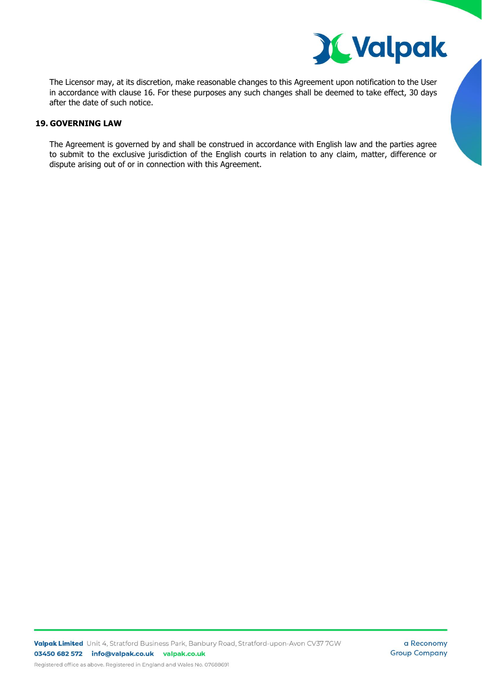

The Licensor may, at its discretion, make reasonable changes to this Agreement upon notification to the User in accordance with clause 16. For these purposes any such changes shall be deemed to take effect, 30 days after the date of such notice.

# **19. GOVERNING LAW**

The Agreement is governed by and shall be construed in accordance with English law and the parties agree to submit to the exclusive jurisdiction of the English courts in relation to any claim, matter, difference or dispute arising out of or in connection with this Agreement.